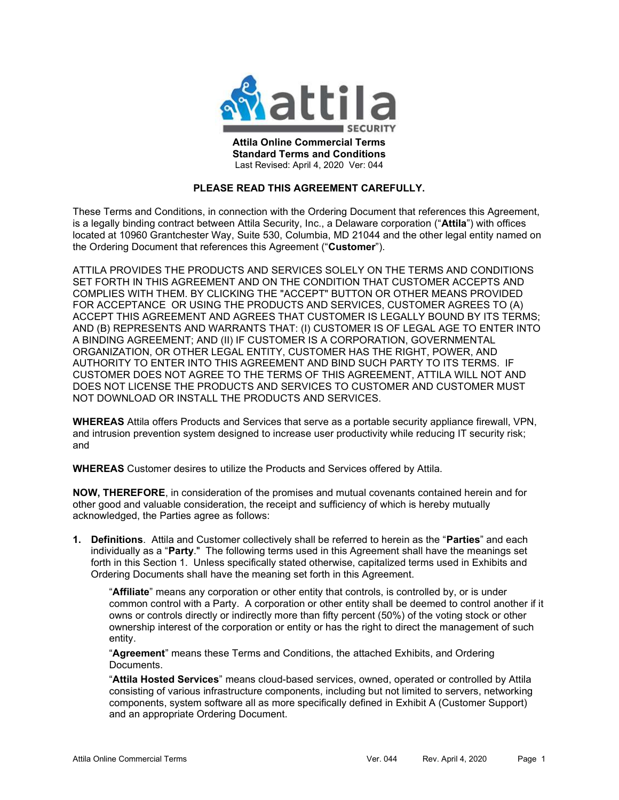

### PLEASE READ THIS AGREEMENT CAREFULLY.

These Terms and Conditions, in connection with the Ordering Document that references this Agreement, is a legally binding contract between Attila Security, Inc., a Delaware corporation ("Attila") with offices located at 10960 Grantchester Way, Suite 530, Columbia, MD 21044 and the other legal entity named on the Ordering Document that references this Agreement ("Customer").

ATTILA PROVIDES THE PRODUCTS AND SERVICES SOLELY ON THE TERMS AND CONDITIONS SET FORTH IN THIS AGREEMENT AND ON THE CONDITION THAT CUSTOMER ACCEPTS AND COMPLIES WITH THEM. BY CLICKING THE "ACCEPT" BUTTON OR OTHER MEANS PROVIDED FOR ACCEPTANCE OR USING THE PRODUCTS AND SERVICES, CUSTOMER AGREES TO (A) ACCEPT THIS AGREEMENT AND AGREES THAT CUSTOMER IS LEGALLY BOUND BY ITS TERMS; AND (B) REPRESENTS AND WARRANTS THAT: (I) CUSTOMER IS OF LEGAL AGE TO ENTER INTO A BINDING AGREEMENT; AND (II) IF CUSTOMER IS A CORPORATION, GOVERNMENTAL ORGANIZATION, OR OTHER LEGAL ENTITY, CUSTOMER HAS THE RIGHT, POWER, AND AUTHORITY TO ENTER INTO THIS AGREEMENT AND BIND SUCH PARTY TO ITS TERMS. IF CUSTOMER DOES NOT AGREE TO THE TERMS OF THIS AGREEMENT, ATTILA WILL NOT AND DOES NOT LICENSE THE PRODUCTS AND SERVICES TO CUSTOMER AND CUSTOMER MUST NOT DOWNLOAD OR INSTALL THE PRODUCTS AND SERVICES.

WHEREAS Attila offers Products and Services that serve as a portable security appliance firewall, VPN, and intrusion prevention system designed to increase user productivity while reducing IT security risk; and

WHEREAS Customer desires to utilize the Products and Services offered by Attila.

NOW, THEREFORE, in consideration of the promises and mutual covenants contained herein and for other good and valuable consideration, the receipt and sufficiency of which is hereby mutually acknowledged, the Parties agree as follows:

1. Definitions. Attila and Customer collectively shall be referred to herein as the "Parties" and each individually as a "Party." The following terms used in this Agreement shall have the meanings set forth in this Section 1. Unless specifically stated otherwise, capitalized terms used in Exhibits and Ordering Documents shall have the meaning set forth in this Agreement.

"Affiliate" means any corporation or other entity that controls, is controlled by, or is under common control with a Party. A corporation or other entity shall be deemed to control another if it owns or controls directly or indirectly more than fifty percent (50%) of the voting stock or other ownership interest of the corporation or entity or has the right to direct the management of such entity.

"Agreement" means these Terms and Conditions, the attached Exhibits, and Ordering Documents.

"Attila Hosted Services" means cloud-based services, owned, operated or controlled by Attila consisting of various infrastructure components, including but not limited to servers, networking components, system software all as more specifically defined in Exhibit A (Customer Support) and an appropriate Ordering Document.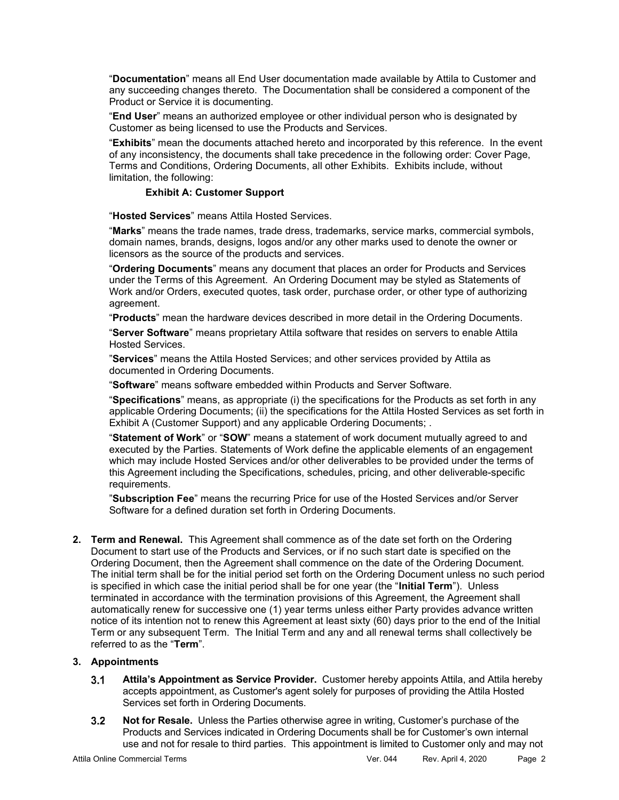"Documentation" means all End User documentation made available by Attila to Customer and any succeeding changes thereto. The Documentation shall be considered a component of the Product or Service it is documenting.

"End User" means an authorized employee or other individual person who is designated by Customer as being licensed to use the Products and Services.

"Exhibits" mean the documents attached hereto and incorporated by this reference. In the event of any inconsistency, the documents shall take precedence in the following order: Cover Page, Terms and Conditions, Ordering Documents, all other Exhibits. Exhibits include, without limitation, the following:

#### Exhibit A: Customer Support

"Hosted Services" means Attila Hosted Services.

"Marks" means the trade names, trade dress, trademarks, service marks, commercial symbols, domain names, brands, designs, logos and/or any other marks used to denote the owner or licensors as the source of the products and services.

"Ordering Documents" means any document that places an order for Products and Services under the Terms of this Agreement. An Ordering Document may be styled as Statements of Work and/or Orders, executed quotes, task order, purchase order, or other type of authorizing agreement.

"Products" mean the hardware devices described in more detail in the Ordering Documents.

"Server Software" means proprietary Attila software that resides on servers to enable Attila Hosted Services.

"Services" means the Attila Hosted Services; and other services provided by Attila as documented in Ordering Documents.

"Software" means software embedded within Products and Server Software.

"Specifications" means, as appropriate (i) the specifications for the Products as set forth in any applicable Ordering Documents; (ii) the specifications for the Attila Hosted Services as set forth in Exhibit A (Customer Support) and any applicable Ordering Documents; .

"Statement of Work" or "SOW" means a statement of work document mutually agreed to and executed by the Parties. Statements of Work define the applicable elements of an engagement which may include Hosted Services and/or other deliverables to be provided under the terms of this Agreement including the Specifications, schedules, pricing, and other deliverable-specific requirements.

"Subscription Fee" means the recurring Price for use of the Hosted Services and/or Server Software for a defined duration set forth in Ordering Documents.

2. Term and Renewal. This Agreement shall commence as of the date set forth on the Ordering Document to start use of the Products and Services, or if no such start date is specified on the Ordering Document, then the Agreement shall commence on the date of the Ordering Document. The initial term shall be for the initial period set forth on the Ordering Document unless no such period is specified in which case the initial period shall be for one year (the "Initial Term"). Unless terminated in accordance with the termination provisions of this Agreement, the Agreement shall automatically renew for successive one (1) year terms unless either Party provides advance written notice of its intention not to renew this Agreement at least sixty (60) days prior to the end of the Initial Term or any subsequent Term. The Initial Term and any and all renewal terms shall collectively be referred to as the "Term".

### 3. Appointments

- 3.1 **Attila's Appointment as Service Provider.** Customer hereby appoints Attila, and Attila hereby accepts appointment, as Customer's agent solely for purposes of providing the Attila Hosted Services set forth in Ordering Documents.
- **3.2** Not for Resale. Unless the Parties otherwise agree in writing, Customer's purchase of the Products and Services indicated in Ordering Documents shall be for Customer's own internal use and not for resale to third parties. This appointment is limited to Customer only and may not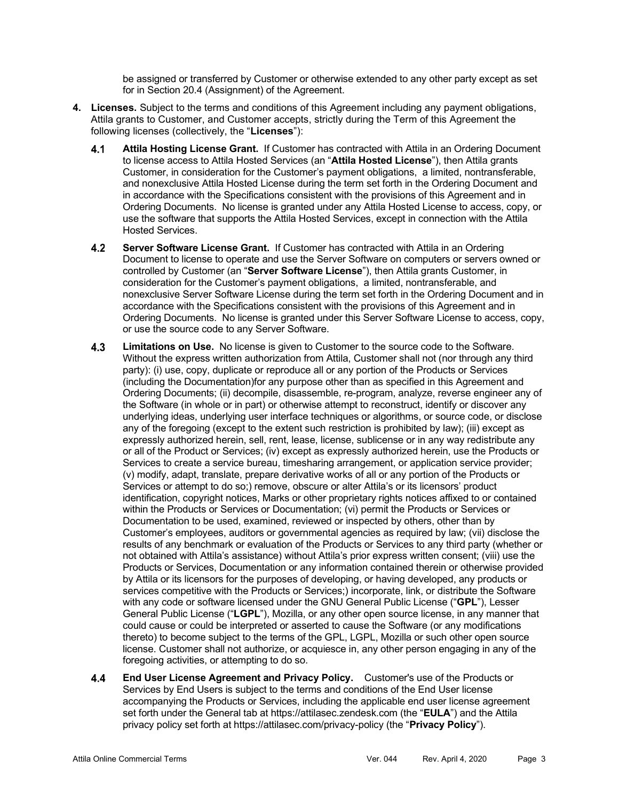be assigned or transferred by Customer or otherwise extended to any other party except as set for in Section 20.4 (Assignment) of the Agreement.

- 4. Licenses. Subject to the terms and conditions of this Agreement including any payment obligations, Attila grants to Customer, and Customer accepts, strictly during the Term of this Agreement the following licenses (collectively, the "Licenses"):
	- 4.1 Attila Hosting License Grant. If Customer has contracted with Attila in an Ordering Document to license access to Attila Hosted Services (an "Attila Hosted License"), then Attila grants Customer, in consideration for the Customer's payment obligations, a limited, nontransferable, and nonexclusive Attila Hosted License during the term set forth in the Ordering Document and in accordance with the Specifications consistent with the provisions of this Agreement and in Ordering Documents. No license is granted under any Attila Hosted License to access, copy, or use the software that supports the Attila Hosted Services, except in connection with the Attila Hosted Services.
	- 4.2 Server Software License Grant. If Customer has contracted with Attila in an Ordering Document to license to operate and use the Server Software on computers or servers owned or controlled by Customer (an "Server Software License"), then Attila grants Customer, in consideration for the Customer's payment obligations, a limited, nontransferable, and nonexclusive Server Software License during the term set forth in the Ordering Document and in accordance with the Specifications consistent with the provisions of this Agreement and in Ordering Documents. No license is granted under this Server Software License to access, copy, or use the source code to any Server Software.
	- 4.3 Limitations on Use. No license is given to Customer to the source code to the Software. Without the express written authorization from Attila, Customer shall not (nor through any third party): (i) use, copy, duplicate or reproduce all or any portion of the Products or Services (including the Documentation)for any purpose other than as specified in this Agreement and Ordering Documents; (ii) decompile, disassemble, re-program, analyze, reverse engineer any of the Software (in whole or in part) or otherwise attempt to reconstruct, identify or discover any underlying ideas, underlying user interface techniques or algorithms, or source code, or disclose any of the foregoing (except to the extent such restriction is prohibited by law); (iii) except as expressly authorized herein, sell, rent, lease, license, sublicense or in any way redistribute any or all of the Product or Services; (iv) except as expressly authorized herein, use the Products or Services to create a service bureau, timesharing arrangement, or application service provider; (v) modify, adapt, translate, prepare derivative works of all or any portion of the Products or Services or attempt to do so;) remove, obscure or alter Attila's or its licensors' product identification, copyright notices, Marks or other proprietary rights notices affixed to or contained within the Products or Services or Documentation; (vi) permit the Products or Services or Documentation to be used, examined, reviewed or inspected by others, other than by Customer's employees, auditors or governmental agencies as required by law; (vii) disclose the results of any benchmark or evaluation of the Products or Services to any third party (whether or not obtained with Attila's assistance) without Attila's prior express written consent; (viii) use the Products or Services, Documentation or any information contained therein or otherwise provided by Attila or its licensors for the purposes of developing, or having developed, any products or services competitive with the Products or Services;) incorporate, link, or distribute the Software with any code or software licensed under the GNU General Public License ("GPL"), Lesser General Public License ("LGPL"), Mozilla, or any other open source license, in any manner that could cause or could be interpreted or asserted to cause the Software (or any modifications thereto) to become subject to the terms of the GPL, LGPL, Mozilla or such other open source license. Customer shall not authorize, or acquiesce in, any other person engaging in any of the foregoing activities, or attempting to do so.
	- 4.4 End User License Agreement and Privacy Policy. Customer's use of the Products or Services by End Users is subject to the terms and conditions of the End User license accompanying the Products or Services, including the applicable end user license agreement set forth under the General tab at https://attilasec.zendesk.com (the "EULA") and the Attila privacy policy set forth at https://attilasec.com/privacy-policy (the "Privacy Policy").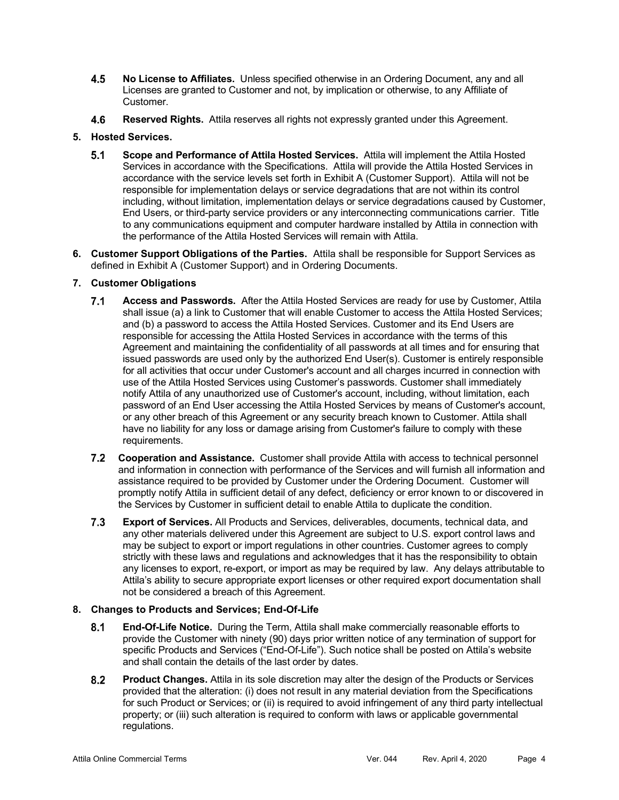- 4.5 No License to Affiliates. Unless specified otherwise in an Ordering Document, any and all Licenses are granted to Customer and not, by implication or otherwise, to any Affiliate of Customer.
- 4.6 Reserved Rights. Attila reserves all rights not expressly granted under this Agreement.

## 5. Hosted Services.

- 5.1 Scope and Performance of Attila Hosted Services. Attila will implement the Attila Hosted Services in accordance with the Specifications. Attila will provide the Attila Hosted Services in accordance with the service levels set forth in Exhibit A (Customer Support). Attila will not be responsible for implementation delays or service degradations that are not within its control including, without limitation, implementation delays or service degradations caused by Customer, End Users, or third-party service providers or any interconnecting communications carrier. Title to any communications equipment and computer hardware installed by Attila in connection with the performance of the Attila Hosted Services will remain with Attila.
- 6. Customer Support Obligations of the Parties. Attila shall be responsible for Support Services as defined in Exhibit A (Customer Support) and in Ordering Documents.

## 7. Customer Obligations

- 7.1 Access and Passwords. After the Attila Hosted Services are ready for use by Customer, Attila shall issue (a) a link to Customer that will enable Customer to access the Attila Hosted Services; and (b) a password to access the Attila Hosted Services. Customer and its End Users are responsible for accessing the Attila Hosted Services in accordance with the terms of this Agreement and maintaining the confidentiality of all passwords at all times and for ensuring that issued passwords are used only by the authorized End User(s). Customer is entirely responsible for all activities that occur under Customer's account and all charges incurred in connection with use of the Attila Hosted Services using Customer's passwords. Customer shall immediately notify Attila of any unauthorized use of Customer's account, including, without limitation, each password of an End User accessing the Attila Hosted Services by means of Customer's account, or any other breach of this Agreement or any security breach known to Customer. Attila shall have no liability for any loss or damage arising from Customer's failure to comply with these requirements.
- 7.2 Cooperation and Assistance. Customer shall provide Attila with access to technical personnel and information in connection with performance of the Services and will furnish all information and assistance required to be provided by Customer under the Ordering Document. Customer will promptly notify Attila in sufficient detail of any defect, deficiency or error known to or discovered in the Services by Customer in sufficient detail to enable Attila to duplicate the condition.
- 7.3 Export of Services. All Products and Services, deliverables, documents, technical data, and any other materials delivered under this Agreement are subject to U.S. export control laws and may be subject to export or import regulations in other countries. Customer agrees to comply strictly with these laws and regulations and acknowledges that it has the responsibility to obtain any licenses to export, re-export, or import as may be required by law. Any delays attributable to Attila's ability to secure appropriate export licenses or other required export documentation shall not be considered a breach of this Agreement.

### 8. Changes to Products and Services; End-Of-Life

- 8.1 End-Of-Life Notice. During the Term, Attila shall make commercially reasonable efforts to provide the Customer with ninety (90) days prior written notice of any termination of support for specific Products and Services ("End-Of-Life"). Such notice shall be posted on Attila's website and shall contain the details of the last order by dates.
- 8.2 Product Changes. Attila in its sole discretion may alter the design of the Products or Services provided that the alteration: (i) does not result in any material deviation from the Specifications for such Product or Services; or (ii) is required to avoid infringement of any third party intellectual property; or (iii) such alteration is required to conform with laws or applicable governmental regulations.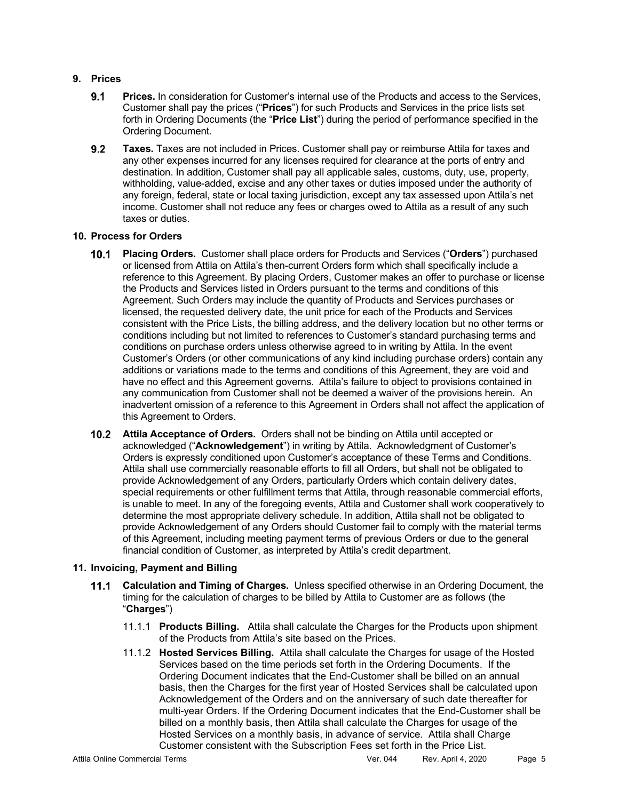- 9. Prices
	- 9.1 Prices. In consideration for Customer's internal use of the Products and access to the Services. Customer shall pay the prices ("Prices") for such Products and Services in the price lists set forth in Ordering Documents (the "Price List") during the period of performance specified in the Ordering Document.
	- 9.2 Taxes. Taxes are not included in Prices. Customer shall pay or reimburse Attila for taxes and any other expenses incurred for any licenses required for clearance at the ports of entry and destination. In addition, Customer shall pay all applicable sales, customs, duty, use, property, withholding, value-added, excise and any other taxes or duties imposed under the authority of any foreign, federal, state or local taxing jurisdiction, except any tax assessed upon Attila's net income. Customer shall not reduce any fees or charges owed to Attila as a result of any such taxes or duties.

## 10. Process for Orders

- 10.1 Placing Orders. Customer shall place orders for Products and Services ("Orders") purchased or licensed from Attila on Attila's then-current Orders form which shall specifically include a reference to this Agreement. By placing Orders, Customer makes an offer to purchase or license the Products and Services listed in Orders pursuant to the terms and conditions of this Agreement. Such Orders may include the quantity of Products and Services purchases or licensed, the requested delivery date, the unit price for each of the Products and Services consistent with the Price Lists, the billing address, and the delivery location but no other terms or conditions including but not limited to references to Customer's standard purchasing terms and conditions on purchase orders unless otherwise agreed to in writing by Attila. In the event Customer's Orders (or other communications of any kind including purchase orders) contain any additions or variations made to the terms and conditions of this Agreement, they are void and have no effect and this Agreement governs. Attila's failure to object to provisions contained in any communication from Customer shall not be deemed a waiver of the provisions herein. An inadvertent omission of a reference to this Agreement in Orders shall not affect the application of this Agreement to Orders.
- 10.2 Attila Acceptance of Orders. Orders shall not be binding on Attila until accepted or acknowledged ("Acknowledgement") in writing by Attila. Acknowledgment of Customer's Orders is expressly conditioned upon Customer's acceptance of these Terms and Conditions. Attila shall use commercially reasonable efforts to fill all Orders, but shall not be obligated to provide Acknowledgement of any Orders, particularly Orders which contain delivery dates, special requirements or other fulfillment terms that Attila, through reasonable commercial efforts, is unable to meet. In any of the foregoing events, Attila and Customer shall work cooperatively to determine the most appropriate delivery schedule. In addition, Attila shall not be obligated to provide Acknowledgement of any Orders should Customer fail to comply with the material terms of this Agreement, including meeting payment terms of previous Orders or due to the general financial condition of Customer, as interpreted by Attila's credit department.

### 11. Invoicing, Payment and Billing

- 11.1 Calculation and Timing of Charges. Unless specified otherwise in an Ordering Document, the timing for the calculation of charges to be billed by Attila to Customer are as follows (the "Charges")
	- 11.1.1 Products Billing. Attila shall calculate the Charges for the Products upon shipment of the Products from Attila's site based on the Prices.
	- 11.1.2 Hosted Services Billing. Attila shall calculate the Charges for usage of the Hosted Services based on the time periods set forth in the Ordering Documents. If the Ordering Document indicates that the End-Customer shall be billed on an annual basis, then the Charges for the first year of Hosted Services shall be calculated upon Acknowledgement of the Orders and on the anniversary of such date thereafter for multi-year Orders. If the Ordering Document indicates that the End-Customer shall be billed on a monthly basis, then Attila shall calculate the Charges for usage of the Hosted Services on a monthly basis, in advance of service. Attila shall Charge Customer consistent with the Subscription Fees set forth in the Price List.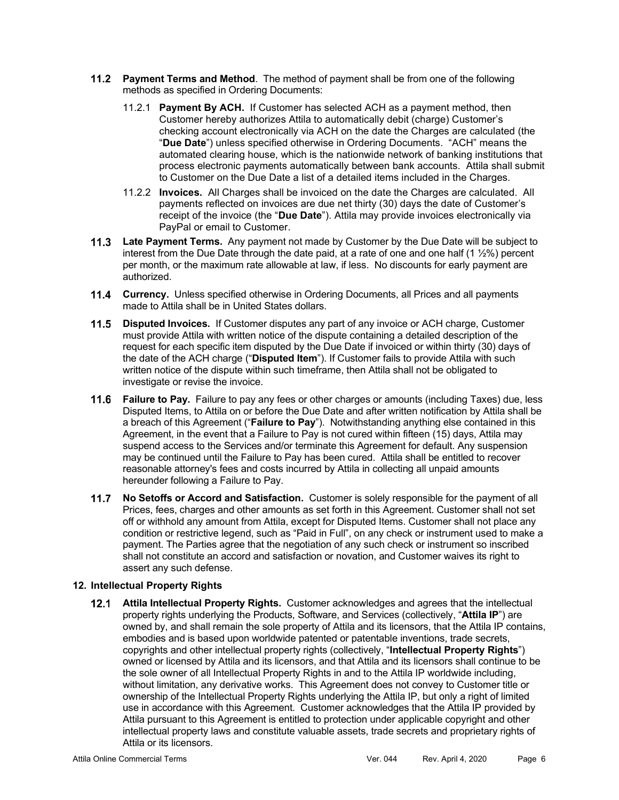- 11.2 Payment Terms and Method. The method of payment shall be from one of the following methods as specified in Ordering Documents:
	- 11.2.1 Payment By ACH. If Customer has selected ACH as a payment method, then Customer hereby authorizes Attila to automatically debit (charge) Customer's checking account electronically via ACH on the date the Charges are calculated (the "Due Date") unless specified otherwise in Ordering Documents. "ACH" means the automated clearing house, which is the nationwide network of banking institutions that process electronic payments automatically between bank accounts. Attila shall submit to Customer on the Due Date a list of a detailed items included in the Charges.
	- 11.2.2 Invoices. All Charges shall be invoiced on the date the Charges are calculated. All payments reflected on invoices are due net thirty (30) days the date of Customer's receipt of the invoice (the "Due Date"). Attila may provide invoices electronically via PayPal or email to Customer.
- 11.3 Late Payment Terms. Any payment not made by Customer by the Due Date will be subject to interest from the Due Date through the date paid, at a rate of one and one half (1 $\frac{1}{2}\%$ ) percent per month, or the maximum rate allowable at law, if less. No discounts for early payment are authorized.
- 11.4 Currency. Unless specified otherwise in Ordering Documents, all Prices and all payments made to Attila shall be in United States dollars.
- 11.5 Disputed Invoices. If Customer disputes any part of any invoice or ACH charge, Customer must provide Attila with written notice of the dispute containing a detailed description of the request for each specific item disputed by the Due Date if invoiced or within thirty (30) days of the date of the ACH charge ("Disputed Item"). If Customer fails to provide Attila with such written notice of the dispute within such timeframe, then Attila shall not be obligated to investigate or revise the invoice.
- 11.6 Failure to Pay. Failure to pay any fees or other charges or amounts (including Taxes) due, less Disputed Items, to Attila on or before the Due Date and after written notification by Attila shall be a breach of this Agreement ("Failure to Pay"). Notwithstanding anything else contained in this Agreement, in the event that a Failure to Pay is not cured within fifteen (15) days, Attila may suspend access to the Services and/or terminate this Agreement for default. Any suspension may be continued until the Failure to Pay has been cured. Attila shall be entitled to recover reasonable attorney's fees and costs incurred by Attila in collecting all unpaid amounts hereunder following a Failure to Pay.
- 11.7 No Setoffs or Accord and Satisfaction. Customer is solely responsible for the payment of all Prices, fees, charges and other amounts as set forth in this Agreement. Customer shall not set off or withhold any amount from Attila, except for Disputed Items. Customer shall not place any condition or restrictive legend, such as "Paid in Full", on any check or instrument used to make a payment. The Parties agree that the negotiation of any such check or instrument so inscribed shall not constitute an accord and satisfaction or novation, and Customer waives its right to assert any such defense.

# 12. Intellectual Property Rights

12.1 Attila Intellectual Property Rights. Customer acknowledges and agrees that the intellectual property rights underlying the Products, Software, and Services (collectively, "Attila IP") are owned by, and shall remain the sole property of Attila and its licensors, that the Attila IP contains, embodies and is based upon worldwide patented or patentable inventions, trade secrets, copyrights and other intellectual property rights (collectively, "Intellectual Property Rights") owned or licensed by Attila and its licensors, and that Attila and its licensors shall continue to be the sole owner of all Intellectual Property Rights in and to the Attila IP worldwide including, without limitation, any derivative works. This Agreement does not convey to Customer title or ownership of the Intellectual Property Rights underlying the Attila IP, but only a right of limited use in accordance with this Agreement. Customer acknowledges that the Attila IP provided by Attila pursuant to this Agreement is entitled to protection under applicable copyright and other intellectual property laws and constitute valuable assets, trade secrets and proprietary rights of Attila or its licensors.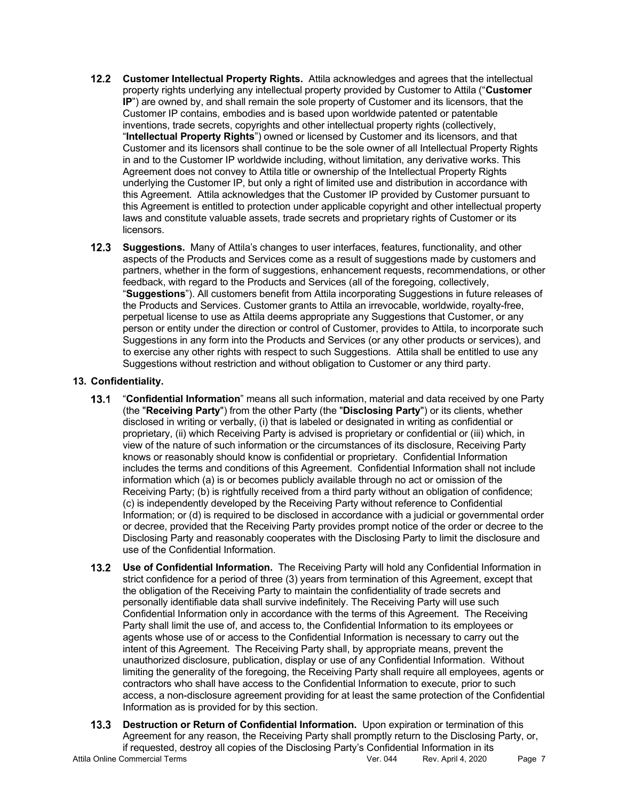- 12.2 Customer Intellectual Property Rights. Attila acknowledges and agrees that the intellectual property rights underlying any intellectual property provided by Customer to Attila ("Customer IP") are owned by, and shall remain the sole property of Customer and its licensors, that the Customer IP contains, embodies and is based upon worldwide patented or patentable inventions, trade secrets, copyrights and other intellectual property rights (collectively, "Intellectual Property Rights") owned or licensed by Customer and its licensors, and that Customer and its licensors shall continue to be the sole owner of all Intellectual Property Rights in and to the Customer IP worldwide including, without limitation, any derivative works. This Agreement does not convey to Attila title or ownership of the Intellectual Property Rights underlying the Customer IP, but only a right of limited use and distribution in accordance with this Agreement. Attila acknowledges that the Customer IP provided by Customer pursuant to this Agreement is entitled to protection under applicable copyright and other intellectual property laws and constitute valuable assets, trade secrets and proprietary rights of Customer or its licensors.
- 12.3 Suggestions. Many of Attila's changes to user interfaces, features, functionality, and other aspects of the Products and Services come as a result of suggestions made by customers and partners, whether in the form of suggestions, enhancement requests, recommendations, or other feedback, with regard to the Products and Services (all of the foregoing, collectively, "Suggestions"). All customers benefit from Attila incorporating Suggestions in future releases of the Products and Services. Customer grants to Attila an irrevocable, worldwide, royalty-free, perpetual license to use as Attila deems appropriate any Suggestions that Customer, or any person or entity under the direction or control of Customer, provides to Attila, to incorporate such Suggestions in any form into the Products and Services (or any other products or services), and to exercise any other rights with respect to such Suggestions. Attila shall be entitled to use any Suggestions without restriction and without obligation to Customer or any third party.

## 13. Confidentiality.

- $13.1$ "Confidential Information" means all such information, material and data received by one Party (the "Receiving Party") from the other Party (the "Disclosing Party") or its clients, whether disclosed in writing or verbally, (i) that is labeled or designated in writing as confidential or proprietary, (ii) which Receiving Party is advised is proprietary or confidential or (iii) which, in view of the nature of such information or the circumstances of its disclosure, Receiving Party knows or reasonably should know is confidential or proprietary. Confidential Information includes the terms and conditions of this Agreement. Confidential Information shall not include information which (a) is or becomes publicly available through no act or omission of the Receiving Party; (b) is rightfully received from a third party without an obligation of confidence; (c) is independently developed by the Receiving Party without reference to Confidential Information; or (d) is required to be disclosed in accordance with a judicial or governmental order or decree, provided that the Receiving Party provides prompt notice of the order or decree to the Disclosing Party and reasonably cooperates with the Disclosing Party to limit the disclosure and use of the Confidential Information.
- 13.2 Use of Confidential Information. The Receiving Party will hold any Confidential Information in strict confidence for a period of three (3) years from termination of this Agreement, except that the obligation of the Receiving Party to maintain the confidentiality of trade secrets and personally identifiable data shall survive indefinitely. The Receiving Party will use such Confidential Information only in accordance with the terms of this Agreement. The Receiving Party shall limit the use of, and access to, the Confidential Information to its employees or agents whose use of or access to the Confidential Information is necessary to carry out the intent of this Agreement. The Receiving Party shall, by appropriate means, prevent the unauthorized disclosure, publication, display or use of any Confidential Information. Without limiting the generality of the foregoing, the Receiving Party shall require all employees, agents or contractors who shall have access to the Confidential Information to execute, prior to such access, a non-disclosure agreement providing for at least the same protection of the Confidential Information as is provided for by this section.
- Attila Online Commercial Terms Ver. 044 Rev. April 4, 2020 Page 7 13.3 Destruction or Return of Confidential Information. Upon expiration or termination of this Agreement for any reason, the Receiving Party shall promptly return to the Disclosing Party, or, if requested, destroy all copies of the Disclosing Party's Confidential Information in its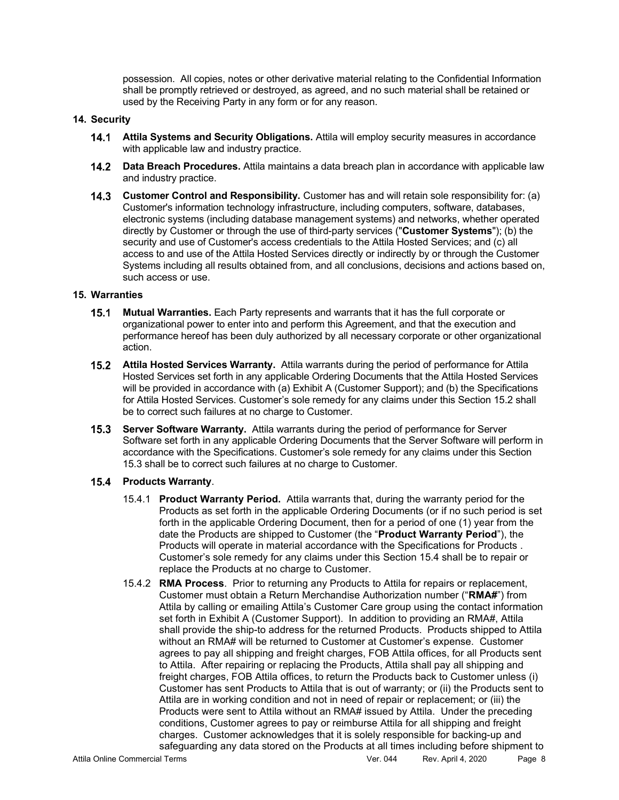possession. All copies, notes or other derivative material relating to the Confidential Information shall be promptly retrieved or destroyed, as agreed, and no such material shall be retained or used by the Receiving Party in any form or for any reason.

### 14. Security

- 14.1 Attila Systems and Security Obligations. Attila will employ security measures in accordance with applicable law and industry practice.
- 14.2 Data Breach Procedures. Attila maintains a data breach plan in accordance with applicable law and industry practice.
- 14.3 Customer Control and Responsibility. Customer has and will retain sole responsibility for: (a) Customer's information technology infrastructure, including computers, software, databases, electronic systems (including database management systems) and networks, whether operated directly by Customer or through the use of third-party services ("Customer Systems"); (b) the security and use of Customer's access credentials to the Attila Hosted Services; and (c) all access to and use of the Attila Hosted Services directly or indirectly by or through the Customer Systems including all results obtained from, and all conclusions, decisions and actions based on, such access or use.

### 15. Warranties

- 15.1 Mutual Warranties. Each Party represents and warrants that it has the full corporate or organizational power to enter into and perform this Agreement, and that the execution and performance hereof has been duly authorized by all necessary corporate or other organizational action.
- 15.2 Attila Hosted Services Warranty. Attila warrants during the period of performance for Attila Hosted Services set forth in any applicable Ordering Documents that the Attila Hosted Services will be provided in accordance with (a) Exhibit A (Customer Support); and (b) the Specifications for Attila Hosted Services. Customer's sole remedy for any claims under this Section 15.2 shall be to correct such failures at no charge to Customer.
- 15.3 Server Software Warranty. Attila warrants during the period of performance for Server Software set forth in any applicable Ordering Documents that the Server Software will perform in accordance with the Specifications. Customer's sole remedy for any claims under this Section 15.3 shall be to correct such failures at no charge to Customer.

### 15.4 Products Warranty.

- 15.4.1 Product Warranty Period. Attila warrants that, during the warranty period for the Products as set forth in the applicable Ordering Documents (or if no such period is set forth in the applicable Ordering Document, then for a period of one (1) year from the date the Products are shipped to Customer (the "Product Warranty Period"), the Products will operate in material accordance with the Specifications for Products . Customer's sole remedy for any claims under this Section 15.4 shall be to repair or replace the Products at no charge to Customer.
- 15.4.2 RMA Process. Prior to returning any Products to Attila for repairs or replacement, Customer must obtain a Return Merchandise Authorization number ("RMA#") from Attila by calling or emailing Attila's Customer Care group using the contact information set forth in Exhibit A (Customer Support). In addition to providing an RMA#, Attila shall provide the ship-to address for the returned Products. Products shipped to Attila without an RMA# will be returned to Customer at Customer's expense. Customer agrees to pay all shipping and freight charges, FOB Attila offices, for all Products sent to Attila. After repairing or replacing the Products, Attila shall pay all shipping and freight charges, FOB Attila offices, to return the Products back to Customer unless (i) Customer has sent Products to Attila that is out of warranty; or (ii) the Products sent to Attila are in working condition and not in need of repair or replacement; or (iii) the Products were sent to Attila without an RMA# issued by Attila. Under the preceding conditions, Customer agrees to pay or reimburse Attila for all shipping and freight charges. Customer acknowledges that it is solely responsible for backing-up and safeguarding any data stored on the Products at all times including before shipment to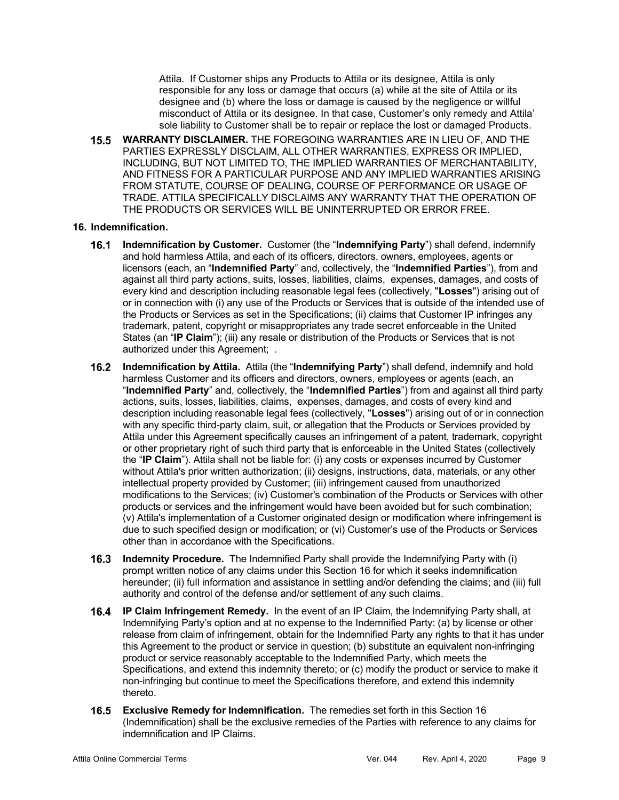Attila. If Customer ships any Products to Attila or its designee, Attila is only responsible for any loss or damage that occurs (a) while at the site of Attila or its designee and (b) where the loss or damage is caused by the negligence or willful misconduct of Attila or its designee. In that case, Customer's only remedy and Attila' sole liability to Customer shall be to repair or replace the lost or damaged Products.

15.5 WARRANTY DISCLAIMER. THE FOREGOING WARRANTIES ARE IN LIEU OF, AND THE PARTIES EXPRESSLY DISCLAIM, ALL OTHER WARRANTIES, EXPRESS OR IMPLIED, INCLUDING, BUT NOT LIMITED TO, THE IMPLIED WARRANTIES OF MERCHANTABILITY, AND FITNESS FOR A PARTICULAR PURPOSE AND ANY IMPLIED WARRANTIES ARISING FROM STATUTE, COURSE OF DEALING, COURSE OF PERFORMANCE OR USAGE OF TRADE. ATTILA SPECIFICALLY DISCLAIMS ANY WARRANTY THAT THE OPERATION OF THE PRODUCTS OR SERVICES WILL BE UNINTERRUPTED OR ERROR FREE.

### 16. Indemnification.

- 16.1 Indemnification by Customer. Customer (the "Indemnifying Party") shall defend, indemnify and hold harmless Attila, and each of its officers, directors, owners, employees, agents or licensors (each, an "Indemnified Party" and, collectively, the "Indemnified Parties"), from and against all third party actions, suits, losses, liabilities, claims, expenses, damages, and costs of every kind and description including reasonable legal fees (collectively, "Losses") arising out of or in connection with (i) any use of the Products or Services that is outside of the intended use of the Products or Services as set in the Specifications; (ii) claims that Customer IP infringes any trademark, patent, copyright or misappropriates any trade secret enforceable in the United States (an "IP Claim"); (iii) any resale or distribution of the Products or Services that is not authorized under this Agreement; .
- 16.2 Indemnification by Attila. Attila (the "Indemnifying Party") shall defend, indemnify and hold harmless Customer and its officers and directors, owners, employees or agents (each, an "Indemnified Party" and, collectively, the "Indemnified Parties") from and against all third party actions, suits, losses, liabilities, claims, expenses, damages, and costs of every kind and description including reasonable legal fees (collectively, "Losses") arising out of or in connection with any specific third-party claim, suit, or allegation that the Products or Services provided by Attila under this Agreement specifically causes an infringement of a patent, trademark, copyright or other proprietary right of such third party that is enforceable in the United States (collectively the "IP Claim"). Attila shall not be liable for: (i) any costs or expenses incurred by Customer without Attila's prior written authorization; (ii) designs, instructions, data, materials, or any other intellectual property provided by Customer; (iii) infringement caused from unauthorized modifications to the Services; (iv) Customer's combination of the Products or Services with other products or services and the infringement would have been avoided but for such combination; (v) Attila's implementation of a Customer originated design or modification where infringement is due to such specified design or modification; or (vi) Customer's use of the Products or Services other than in accordance with the Specifications.
- 16.3 Indemnity Procedure. The Indemnified Party shall provide the Indemnifying Party with (i) prompt written notice of any claims under this Section 16 for which it seeks indemnification hereunder; (ii) full information and assistance in settling and/or defending the claims; and (iii) full authority and control of the defense and/or settlement of any such claims.
- 16.4 IP Claim Infringement Remedy. In the event of an IP Claim, the Indemnifying Party shall, at Indemnifying Party's option and at no expense to the Indemnified Party: (a) by license or other release from claim of infringement, obtain for the Indemnified Party any rights to that it has under this Agreement to the product or service in question; (b) substitute an equivalent non-infringing product or service reasonably acceptable to the Indemnified Party, which meets the Specifications, and extend this indemnity thereto; or (c) modify the product or service to make it non-infringing but continue to meet the Specifications therefore, and extend this indemnity thereto.
- 16.5 Exclusive Remedy for Indemnification. The remedies set forth in this Section 16 (Indemnification) shall be the exclusive remedies of the Parties with reference to any claims for indemnification and IP Claims.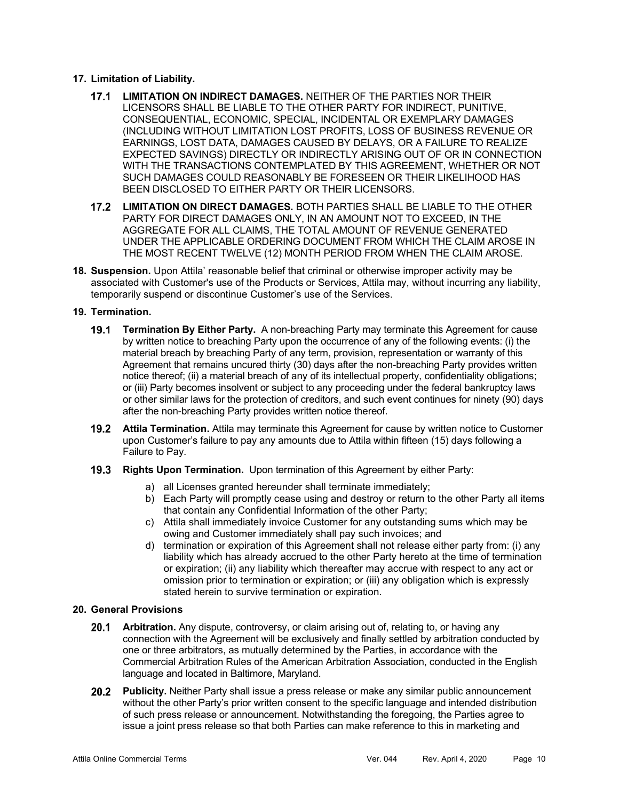## 17. Limitation of Liability.

- 17.1 LIMITATION ON INDIRECT DAMAGES. NEITHER OF THE PARTIES NOR THEIR LICENSORS SHALL BE LIABLE TO THE OTHER PARTY FOR INDIRECT, PUNITIVE, CONSEQUENTIAL, ECONOMIC, SPECIAL, INCIDENTAL OR EXEMPLARY DAMAGES (INCLUDING WITHOUT LIMITATION LOST PROFITS, LOSS OF BUSINESS REVENUE OR EARNINGS, LOST DATA, DAMAGES CAUSED BY DELAYS, OR A FAILURE TO REALIZE EXPECTED SAVINGS) DIRECTLY OR INDIRECTLY ARISING OUT OF OR IN CONNECTION WITH THE TRANSACTIONS CONTEMPLATED BY THIS AGREEMENT, WHETHER OR NOT SUCH DAMAGES COULD REASONABLY BE FORESEEN OR THEIR LIKELIHOOD HAS BEEN DISCLOSED TO EITHER PARTY OR THEIR LICENSORS.
- 17.2 LIMITATION ON DIRECT DAMAGES. BOTH PARTIES SHALL BE LIABLE TO THE OTHER PARTY FOR DIRECT DAMAGES ONLY, IN AN AMOUNT NOT TO EXCEED, IN THE AGGREGATE FOR ALL CLAIMS, THE TOTAL AMOUNT OF REVENUE GENERATED UNDER THE APPLICABLE ORDERING DOCUMENT FROM WHICH THE CLAIM AROSE IN THE MOST RECENT TWELVE (12) MONTH PERIOD FROM WHEN THE CLAIM AROSE.
- 18. Suspension. Upon Attila' reasonable belief that criminal or otherwise improper activity may be associated with Customer's use of the Products or Services, Attila may, without incurring any liability, temporarily suspend or discontinue Customer's use of the Services.

# 19. Termination.

- 19.1 Termination By Either Party. A non-breaching Party may terminate this Agreement for cause by written notice to breaching Party upon the occurrence of any of the following events: (i) the material breach by breaching Party of any term, provision, representation or warranty of this Agreement that remains uncured thirty (30) days after the non-breaching Party provides written notice thereof; (ii) a material breach of any of its intellectual property, confidentiality obligations; or (iii) Party becomes insolvent or subject to any proceeding under the federal bankruptcy laws or other similar laws for the protection of creditors, and such event continues for ninety (90) days after the non-breaching Party provides written notice thereof.
- 19.2 Attila Termination. Attila may terminate this Agreement for cause by written notice to Customer upon Customer's failure to pay any amounts due to Attila within fifteen (15) days following a Failure to Pay.
- 19.3 Rights Upon Termination. Upon termination of this Agreement by either Party:
	- a) all Licenses granted hereunder shall terminate immediately;
	- b) Each Party will promptly cease using and destroy or return to the other Party all items that contain any Confidential Information of the other Party;
	- c) Attila shall immediately invoice Customer for any outstanding sums which may be owing and Customer immediately shall pay such invoices; and
	- d) termination or expiration of this Agreement shall not release either party from: (i) any liability which has already accrued to the other Party hereto at the time of termination or expiration; (ii) any liability which thereafter may accrue with respect to any act or omission prior to termination or expiration; or (iii) any obligation which is expressly stated herein to survive termination or expiration.

### 20. General Provisions

- 20.1 Arbitration. Any dispute, controversy, or claim arising out of, relating to, or having any connection with the Agreement will be exclusively and finally settled by arbitration conducted by one or three arbitrators, as mutually determined by the Parties, in accordance with the Commercial Arbitration Rules of the American Arbitration Association, conducted in the English language and located in Baltimore, Maryland.
- 20.2 Publicity. Neither Party shall issue a press release or make any similar public announcement without the other Party's prior written consent to the specific language and intended distribution of such press release or announcement. Notwithstanding the foregoing, the Parties agree to issue a joint press release so that both Parties can make reference to this in marketing and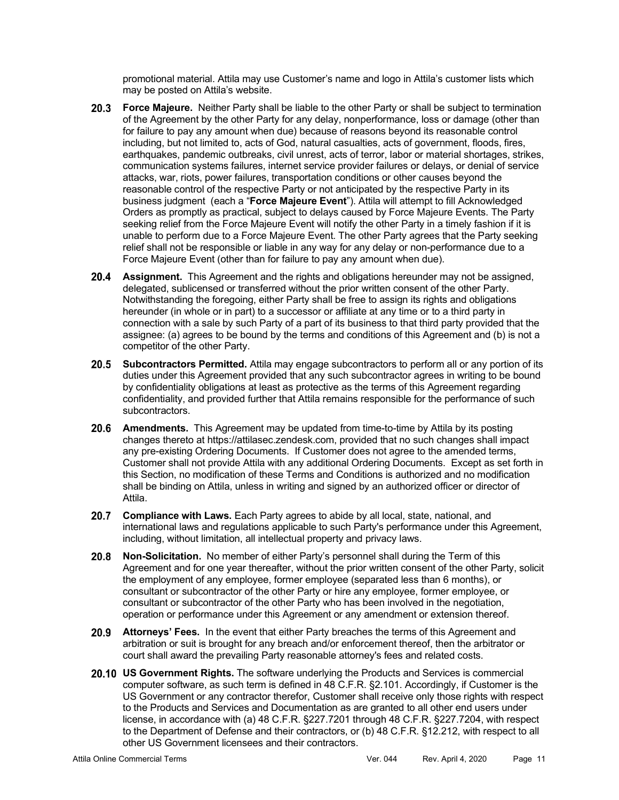promotional material. Attila may use Customer's name and logo in Attila's customer lists which may be posted on Attila's website.

- 20.3 Force Majeure. Neither Party shall be liable to the other Party or shall be subject to termination of the Agreement by the other Party for any delay, nonperformance, loss or damage (other than for failure to pay any amount when due) because of reasons beyond its reasonable control including, but not limited to, acts of God, natural casualties, acts of government, floods, fires, earthquakes, pandemic outbreaks, civil unrest, acts of terror, labor or material shortages, strikes, communication systems failures, internet service provider failures or delays, or denial of service attacks, war, riots, power failures, transportation conditions or other causes beyond the reasonable control of the respective Party or not anticipated by the respective Party in its business judgment (each a "Force Majeure Event"). Attila will attempt to fill Acknowledged Orders as promptly as practical, subject to delays caused by Force Majeure Events. The Party seeking relief from the Force Majeure Event will notify the other Party in a timely fashion if it is unable to perform due to a Force Majeure Event. The other Party agrees that the Party seeking relief shall not be responsible or liable in any way for any delay or non-performance due to a Force Majeure Event (other than for failure to pay any amount when due).
- 20.4 Assignment. This Agreement and the rights and obligations hereunder may not be assigned, delegated, sublicensed or transferred without the prior written consent of the other Party. Notwithstanding the foregoing, either Party shall be free to assign its rights and obligations hereunder (in whole or in part) to a successor or affiliate at any time or to a third party in connection with a sale by such Party of a part of its business to that third party provided that the assignee: (a) agrees to be bound by the terms and conditions of this Agreement and (b) is not a competitor of the other Party.
- 20.5 Subcontractors Permitted. Attila may engage subcontractors to perform all or any portion of its duties under this Agreement provided that any such subcontractor agrees in writing to be bound by confidentiality obligations at least as protective as the terms of this Agreement regarding confidentiality, and provided further that Attila remains responsible for the performance of such subcontractors.
- 20.6 Amendments. This Agreement may be updated from time-to-time by Attila by its posting changes thereto at https://attilasec.zendesk.com, provided that no such changes shall impact any pre-existing Ordering Documents. If Customer does not agree to the amended terms, Customer shall not provide Attila with any additional Ordering Documents. Except as set forth in this Section, no modification of these Terms and Conditions is authorized and no modification shall be binding on Attila, unless in writing and signed by an authorized officer or director of Attila.
- 20.7 Compliance with Laws. Each Party agrees to abide by all local, state, national, and international laws and regulations applicable to such Party's performance under this Agreement, including, without limitation, all intellectual property and privacy laws.
- 20.8 Non-Solicitation. No member of either Party's personnel shall during the Term of this Agreement and for one year thereafter, without the prior written consent of the other Party, solicit the employment of any employee, former employee (separated less than 6 months), or consultant or subcontractor of the other Party or hire any employee, former employee, or consultant or subcontractor of the other Party who has been involved in the negotiation, operation or performance under this Agreement or any amendment or extension thereof.
- 20.9 Attorneys' Fees. In the event that either Party breaches the terms of this Agreement and arbitration or suit is brought for any breach and/or enforcement thereof, then the arbitrator or court shall award the prevailing Party reasonable attorney's fees and related costs.
- 20.10 US Government Rights. The software underlying the Products and Services is commercial computer software, as such term is defined in 48 C.F.R. §2.101. Accordingly, if Customer is the US Government or any contractor therefor, Customer shall receive only those rights with respect to the Products and Services and Documentation as are granted to all other end users under license, in accordance with (a) 48 C.F.R. §227.7201 through 48 C.F.R. §227.7204, with respect to the Department of Defense and their contractors, or (b) 48 C.F.R. §12.212, with respect to all other US Government licensees and their contractors.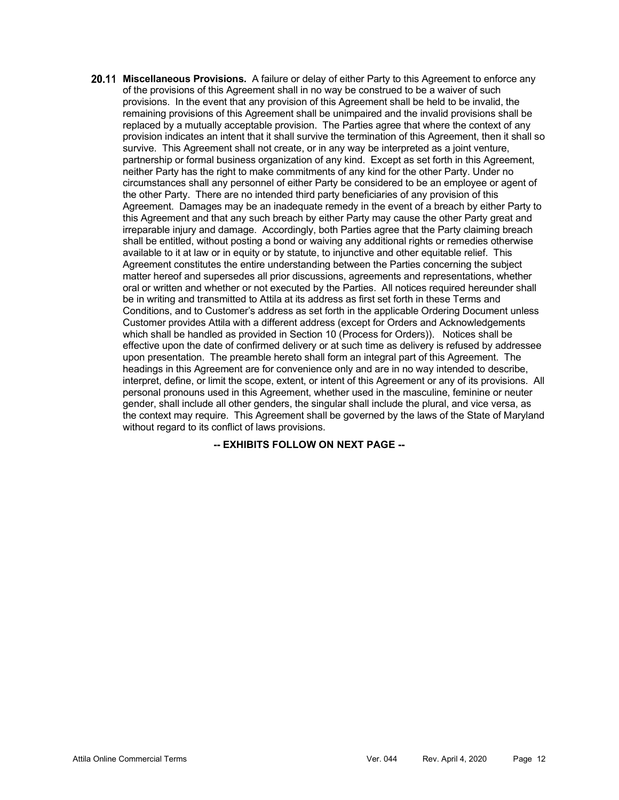20.11 Miscellaneous Provisions. A failure or delay of either Party to this Agreement to enforce any of the provisions of this Agreement shall in no way be construed to be a waiver of such provisions. In the event that any provision of this Agreement shall be held to be invalid, the remaining provisions of this Agreement shall be unimpaired and the invalid provisions shall be replaced by a mutually acceptable provision. The Parties agree that where the context of any provision indicates an intent that it shall survive the termination of this Agreement, then it shall so survive. This Agreement shall not create, or in any way be interpreted as a joint venture, partnership or formal business organization of any kind. Except as set forth in this Agreement, neither Party has the right to make commitments of any kind for the other Party. Under no circumstances shall any personnel of either Party be considered to be an employee or agent of the other Party. There are no intended third party beneficiaries of any provision of this Agreement. Damages may be an inadequate remedy in the event of a breach by either Party to this Agreement and that any such breach by either Party may cause the other Party great and irreparable injury and damage. Accordingly, both Parties agree that the Party claiming breach shall be entitled, without posting a bond or waiving any additional rights or remedies otherwise available to it at law or in equity or by statute, to injunctive and other equitable relief. This Agreement constitutes the entire understanding between the Parties concerning the subject matter hereof and supersedes all prior discussions, agreements and representations, whether oral or written and whether or not executed by the Parties. All notices required hereunder shall be in writing and transmitted to Attila at its address as first set forth in these Terms and Conditions, and to Customer's address as set forth in the applicable Ordering Document unless Customer provides Attila with a different address (except for Orders and Acknowledgements which shall be handled as provided in Section 10 (Process for Orders)). Notices shall be effective upon the date of confirmed delivery or at such time as delivery is refused by addressee upon presentation. The preamble hereto shall form an integral part of this Agreement. The headings in this Agreement are for convenience only and are in no way intended to describe, interpret, define, or limit the scope, extent, or intent of this Agreement or any of its provisions. All personal pronouns used in this Agreement, whether used in the masculine, feminine or neuter gender, shall include all other genders, the singular shall include the plural, and vice versa, as the context may require. This Agreement shall be governed by the laws of the State of Maryland without regard to its conflict of laws provisions.

-- EXHIBITS FOLLOW ON NEXT PAGE --